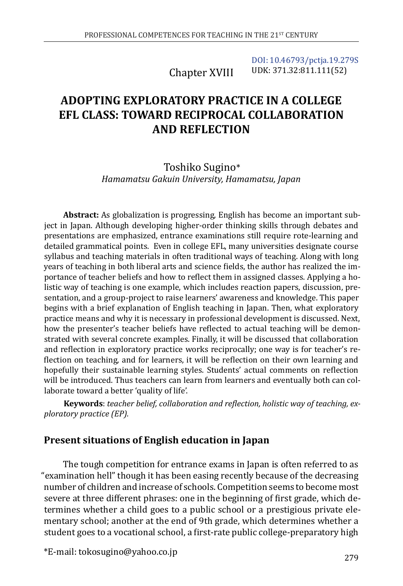Chapter XVIII [DOI: 10.46793/pctja.19.279S](https://doi.org/10.46793/pctja.19.279S) UDK: 371.32:811.111(52)

# **ADOPTING EXPLORATORY PRACTICE IN A COLLEGE EFL CLASS: TOWARD RECIPROCAL COLLABORATION AND REFLECTION**

### Toshiko Sugino\* *Hamamatsu Gakuin University, Hamamatsu, Japan*

**Abstract:** As globalization is progressing, English has become an important subject in Japan. Although developing higher-order thinking skills through debates and presentations are emphasized, entrance examinations still require rote-learning and detailed grammatical points. Even in college EFL, many universities designate course syllabus and teaching materials in often traditional ways of teaching. Along with long years of teaching in both liberal arts and science fields, the author has realized the importance of teacher beliefs and how to reflect them in assigned classes. Applying a holistic way of teaching is one example, which includes reaction papers, discussion, presentation, and a group-project to raise learners' awareness and knowledge. This paper begins with a brief explanation of English teaching in Japan. Then, what exploratory practice means and why it is necessary in professional development is discussed. Next, how the presenter's teacher beliefs have reflected to actual teaching will be demonstrated with several concrete examples. Finally, it will be discussed that collaboration and reflection in exploratory practice works reciprocally; one way is for teacher's reflection on teaching, and for learners, it will be reflection on their own learning and hopefully their sustainable learning styles. Students' actual comments on reflection will be introduced. Thus teachers can learn from learners and eventually both can collaborate toward a better 'quality of life'.

**Keywords**: *teacher belief, collaboration and reflection, holistic way of teaching, exploratory practice (EP).*

### **Present situations of English education in Japan**

The tough competition for entrance exams in Japan is often referred to as "examination hell" though it has been easing recently because of the decreasing number of children and increase of schools. Competition seems to become most severe at three different phrases: one in the beginning of first grade, which determines whether a child goes to a public school or a prestigious private elementary school; another at the end of 9th grade, which determines whether a student goes to a vocational school, a first-rate public college-preparatory high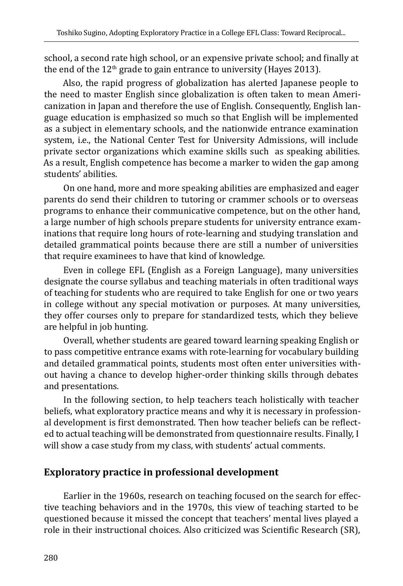school, a second rate high school, or an expensive private school; and finally at the end of the  $12<sup>th</sup>$  grade to gain entrance to university (Hayes 2013).

Also, the rapid progress of globalization has alerted Japanese people to the need to master English since globalization is often taken to mean Americanization in Japan and therefore the use of English. Consequently, English language education is emphasized so much so that English will be implemented as a subject in elementary schools, and the nationwide entrance examination system, i.e., the National Center Test for University Admissions, will include private sector organizations which examine skills such as speaking abilities. As a result, English competence has become a marker to widen the gap among students' abilities.

On one hand, more and more speaking abilities are emphasized and eager parents do send their children to tutoring or crammer schools or to overseas programs to enhance their communicative competence, but on the other hand, a large number of high schools prepare students for university entrance examinations that require long hours of rote-learning and studying translation and detailed grammatical points because there are still a number of universities that require examinees to have that kind of knowledge.

Even in college EFL (English as a Foreign Language), many universities designate the course syllabus and teaching materials in often traditional ways of teaching for students who are required to take English for one or two years in college without any special motivation or purposes. At many universities, they offer courses only to prepare for standardized tests, which they believe are helpful in job hunting.

Overall, whether students are geared toward learning speaking English or to pass competitive entrance exams with rote-learning for vocabulary building and detailed grammatical points, students most often enter universities without having a chance to develop higher-order thinking skills through debates and presentations.

In the following section, to help teachers teach holistically with teacher beliefs, what exploratory practice means and why it is necessary in professional development is first demonstrated. Then how teacher beliefs can be reflected to actual teaching will be demonstrated from questionnaire results. Finally, I will show a case study from my class, with students' actual comments.

# **Exploratory practice in professional development**

Earlier in the 1960s, research on teaching focused on the search for effective teaching behaviors and in the 1970s, this view of teaching started to be questioned because it missed the concept that teachers' mental lives played a role in their instructional choices. Also criticized was Scientific Research (SR),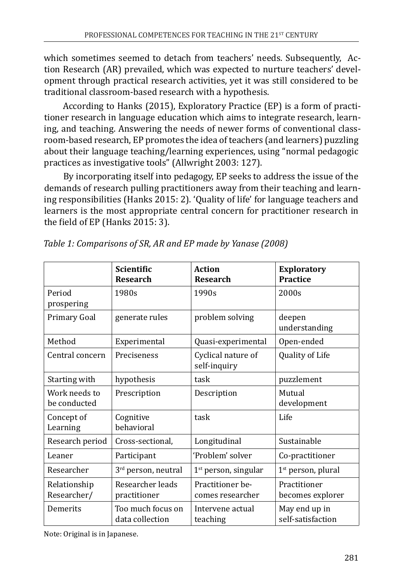which sometimes seemed to detach from teachers' needs. Subsequently, Action Research (AR) prevailed, which was expected to nurture teachers' development through practical research activities, yet it was still considered to be traditional classroom-based research with a hypothesis.

According to Hanks (2015), Exploratory Practice (EP) is a form of practitioner research in language education which aims to integrate research, learning, and teaching. Answering the needs of newer forms of conventional classroom-based research, EP promotes the idea of teachers (and learners) puzzling about their language teaching/learning experiences, using "normal pedagogic practices as investigative tools" (Allwright 2003: 127).

By incorporating itself into pedagogy, EP seeks to address the issue of the demands of research pulling practitioners away from their teaching and learning responsibilities (Hanks 2015: 2). 'Quality of life' for language teachers and learners is the most appropriate central concern for practitioner research in the field of EP (Hanks 2015: 3).

|                               | <b>Scientific</b><br><b>Research</b> | Action<br><b>Research</b>            | <b>Exploratory</b><br><b>Practice</b> |
|-------------------------------|--------------------------------------|--------------------------------------|---------------------------------------|
| Period<br>prospering          | 1980s                                | 1990s                                | 2000s                                 |
| Primary Goal                  | generate rules                       | problem solving                      | deepen<br>understanding               |
| Method                        | Experimental                         | Quasi-experimental                   | Open-ended                            |
| Central concern               | Preciseness                          | Cyclical nature of<br>self-inquiry   | Quality of Life                       |
| Starting with                 | hypothesis                           | task                                 | puzzlement                            |
| Work needs to<br>be conducted | Prescription                         | Description                          | Mutual<br>development                 |
| Concept of<br>Learning        | Cognitive<br>behavioral              | task                                 | Life                                  |
| Research period               | Cross-sectional,                     | Longitudinal                         | Sustainable                           |
| Leaner                        | Participant                          | 'Problem' solver                     | Co-practitioner                       |
| Researcher                    | 3 <sup>rd</sup> person, neutral      | $1st$ person, singular               | 1 <sup>st</sup> person, plural        |
| Relationship<br>Researcher/   | Researcher leads<br>practitioner     | Practitioner be-<br>comes researcher | Practitioner<br>becomes explorer      |
| Demerits                      | Too much focus on<br>data collection | Intervene actual<br>teaching         | May end up in<br>self-satisfaction    |

*Table 1: Comparisons of SR, AR and EP made by Yanase (2008)*

Note: Original is in Japanese.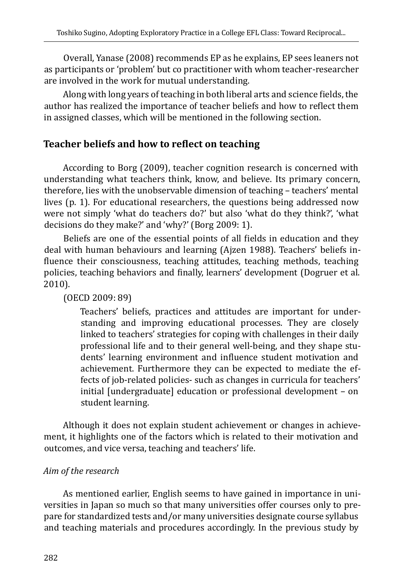Overall, Yanase (2008) recommends EP as he explains, EP sees leaners not as participants or 'problem' but co practitioner with whom teacher-researcher are involved in the work for mutual understanding.

Along with long years of teaching in both liberal arts and science fields, the author has realized the importance of teacher beliefs and how to reflect them in assigned classes, which will be mentioned in the following section.

# **Teacher beliefs and how to reflect on teaching**

According to Borg (2009), teacher cognition research is concerned with understanding what teachers think, know, and believe. Its primary concern, therefore, lies with the unobservable dimension of teaching – teachers' mental lives (p. 1). For educational researchers, the questions being addressed now were not simply 'what do teachers do?' but also 'what do they think?', 'what decisions do they make?' and 'why?' (Borg 2009: 1).

Beliefs are one of the essential points of all fields in education and they deal with human behaviours and learning (Ajzen 1988). Teachers' beliefs influence their consciousness, teaching attitudes, teaching methods, teaching policies, teaching behaviors and finally, learners' development (Dogruer et al. 2010).

(OECD 2009: 89)

Teachers' beliefs, practices and attitudes are important for understanding and improving educational processes. They are closely linked to teachers' strategies for coping with challenges in their daily professional life and to their general well-being, and they shape students' learning environment and influence student motivation and achievement. Furthermore they can be expected to mediate the effects of job-related policies- such as changes in curricula for teachers' initial [undergraduate] education or professional development – on student learning.

Although it does not explain student achievement or changes in achievement, it highlights one of the factors which is related to their motivation and outcomes, and vice versa, teaching and teachers' life.

#### *Aim of the research*

As mentioned earlier, English seems to have gained in importance in universities in Japan so much so that many universities offer courses only to prepare for standardized tests and/or many universities designate course syllabus and teaching materials and procedures accordingly. In the previous study by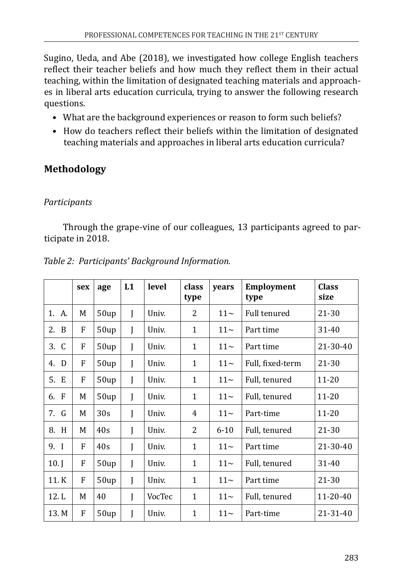Sugino, Ueda, and Abe (2018), we investigated how college English teachers reflect their teacher beliefs and how much they reflect them in their actual teaching, within the limitation of designated teaching materials and approaches in liberal arts education curricula, trying to answer the following research questions.

- What are the background experiences or reason to form such beliefs?
- How do teachers reflect their beliefs within the limitation of designated teaching materials and approaches in liberal arts education curricula?

# **Methodology**

### *Participants*

Through the grape-vine of our colleagues, 13 participants agreed to participate in 2018.

|           | sex | age             | L1 | level  | class<br>type | years    | <b>Employment</b><br>type | <b>Class</b><br>size |
|-----------|-----|-----------------|----|--------|---------------|----------|---------------------------|----------------------|
| 1. A.     | M   | 50up            | I  | Univ.  | 2             | $11\sim$ | <b>Full tenured</b>       | 21-30                |
| 2.<br>- B | F   | 50up            | I  | Univ.  | $\mathbf{1}$  | $11\sim$ | Part time                 | 31-40                |
| 3. C      | F   | 50up            | I  | Univ.  | 1             | $11\sim$ | Part time                 | 21-30-40             |
| D<br>4.   | F   | 50up            | I  | Univ.  | 1             | $11\sim$ | Full, fixed-term          | 21-30                |
| 5. E      | F   | 50up            | I  | Univ.  | $\mathbf{1}$  | $11\sim$ | Full, tenured             | $11 - 20$            |
| 6. F      | M   | 50up            | I  | Univ.  | $\mathbf{1}$  | $11\sim$ | Full, tenured             | $11 - 20$            |
| 7. G      | M   | 30 <sub>s</sub> |    | Univ.  | 4             | $11\sim$ | Part-time                 | $11 - 20$            |
| 8.<br>H   | M   | 40s             | I  | Univ.  | 2             | $6 - 10$ | Full, tenured             | 21-30                |
| 9. I      | F   | 40s             | I  | Univ.  | 1             | $11\sim$ | Part time                 | $21 - 30 - 40$       |
| $10.$ J   | F   | 50up            | I  | Univ.  | 1             | $11\sim$ | Full, tenured             | 31-40                |
| 11.K      | F   | 50up            | I  | Univ.  | 1             | $11-$    | Part time                 | $21 - 30$            |
| 12.L      | M   | 40              | J  | VocTec | $\mathbf{1}$  | $11\sim$ | Full, tenured             | 11-20-40             |
| 13. M     | F   | 50up            |    | Univ.  | $\mathbf{1}$  | $11\sim$ | Part-time                 | 21-31-40             |

*Table 2: Participants' Background Information.*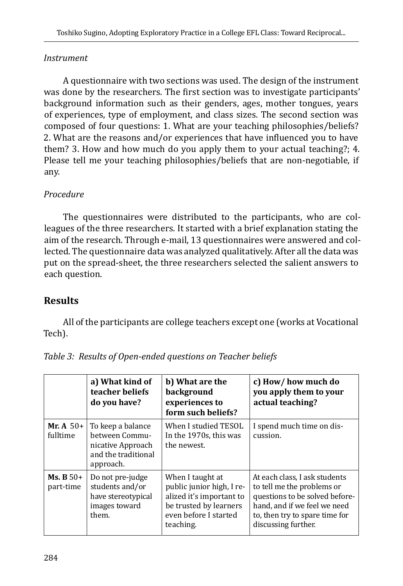### *Instrument*

A questionnaire with two sections was used. The design of the instrument was done by the researchers. The first section was to investigate participants' background information such as their genders, ages, mother tongues, years of experiences, type of employment, and class sizes. The second section was composed of four questions: 1. What are your teaching philosophies/beliefs? 2. What are the reasons and/or experiences that have influenced you to have them? 3. How and how much do you apply them to your actual teaching?; 4. Please tell me your teaching philosophies/beliefs that are non-negotiable, if any.

### *Procedure*

The questionnaires were distributed to the participants, who are colleagues of the three researchers. It started with a brief explanation stating the aim of the research. Through e-mail, 13 questionnaires were answered and collected. The questionnaire data was analyzed qualitatively. After all the data was put on the spread-sheet, the three researchers selected the salient answers to each question.

# **Results**

All of the participants are college teachers except one (works at Vocational Tech).

|                             | a) What kind of<br>teacher beliefs<br>do you have?                                           | b) What are the<br>background<br>experiences to<br>form such beliefs?                                                                     | c) How/how much do<br>you apply them to your<br>actual teaching?                                                                                                                       |
|-----------------------------|----------------------------------------------------------------------------------------------|-------------------------------------------------------------------------------------------------------------------------------------------|----------------------------------------------------------------------------------------------------------------------------------------------------------------------------------------|
| Mr. A $50+$<br>fulltime     | To keep a balance<br>between Commu-<br>nicative Approach<br>and the traditional<br>approach. | When I studied TESOL<br>In the 1970s, this was<br>the newest.                                                                             | I spend much time on dis-<br>cussion.                                                                                                                                                  |
| $Ms$ , $B 50+$<br>part-time | Do not pre-judge<br>students and/or<br>have stereotypical<br>images toward<br>them.          | When I taught at<br>public junior high, I re-<br>alized it's important to<br>be trusted by learners<br>even before I started<br>teaching. | At each class, I ask students<br>to tell me the problems or<br>questions to be solved before-<br>hand, and if we feel we need<br>to, then try to spare time for<br>discussing further. |

*Table 3: Results of Open-ended questions on Teacher beliefs*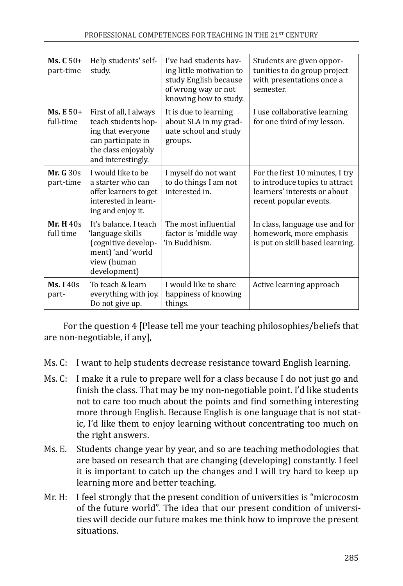| $Ms. C50+$<br>part-time    | Help students' self-<br>study.                                                                                                        | I've had students hav-<br>ing little motivation to<br>study English because<br>of wrong way or not<br>knowing how to study. | Students are given oppor-<br>tunities to do group project<br>with presentations once a<br>semester.                         |
|----------------------------|---------------------------------------------------------------------------------------------------------------------------------------|-----------------------------------------------------------------------------------------------------------------------------|-----------------------------------------------------------------------------------------------------------------------------|
| $Ms. E 50+$<br>full-time   | First of all, I always<br>teach students hop-<br>ing that everyone<br>can participate in<br>the class enjoyably<br>and interestingly. | It is due to learning<br>about SLA in my grad-<br>uate school and study<br>groups.                                          | I use collaborative learning<br>for one third of my lesson.                                                                 |
| Mr. $G$ 30s<br>part-time   | I would like to be<br>a starter who can<br>offer learners to get<br>interested in learn-<br>ing and enjoy it.                         | I myself do not want<br>to do things I am not<br>interested in.                                                             | For the first 10 minutes, I try<br>to introduce topics to attract<br>learners' interests or about<br>recent popular events. |
| Mr. $H_{40s}$<br>full time | It's balance. I teach<br>'language skills<br>(cognitive develop-<br>ment) 'and 'world<br>view (human<br>development)                  | The most influential<br>factor is 'middle way<br>'in Buddhism.                                                              | In class, language use and for<br>homework, more emphasis<br>is put on skill based learning.                                |
| Ms. $I$ 40s<br>part-       | To teach & learn<br>everything with joy.<br>Do not give up.                                                                           | I would like to share<br>happiness of knowing<br>things.                                                                    | Active learning approach                                                                                                    |

For the question 4 [Please tell me your teaching philosophies/beliefs that are non-negotiable, if any],

- Ms. C: I want to help students decrease resistance toward English learning.
- Ms. C: I make it a rule to prepare well for a class because I do not just go and finish the class. That may be my non-negotiable point. I'd like students not to care too much about the points and find something interesting more through English. Because English is one language that is not static, I'd like them to enjoy learning without concentrating too much on the right answers.
- Ms. E. Students change year by year, and so are teaching methodologies that are based on research that are changing (developing) constantly. I feel it is important to catch up the changes and I will try hard to keep up learning more and better teaching.
- Mr. H: I feel strongly that the present condition of universities is "microcosm of the future world". The idea that our present condition of universities will decide our future makes me think how to improve the present situations.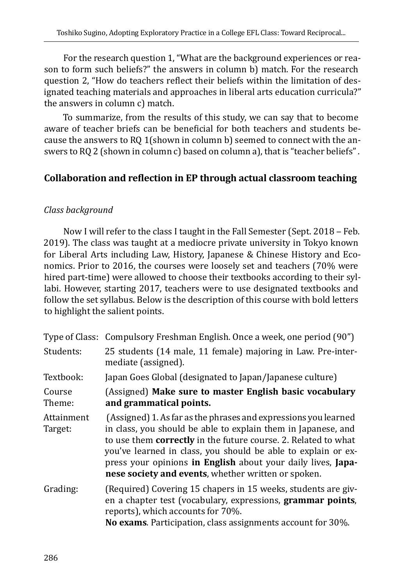For the research question 1, "What are the background experiences or reason to form such beliefs?" the answers in column b) match. For the research question 2, "How do teachers reflect their beliefs within the limitation of designated teaching materials and approaches in liberal arts education curricula?" the answers in column c) match.

To summarize, from the results of this study, we can say that to become aware of teacher briefs can be beneficial for both teachers and students because the answers to RQ 1(shown in column b) seemed to connect with the answers to RQ 2 (shown in column c) based on column a), that is "teacher beliefs" .

# **Collaboration and reflection in EP through actual classroom teaching**

#### *Class background*

Now I will refer to the class I taught in the Fall Semester (Sept. 2018 – Feb. 2019). The class was taught at a mediocre private university in Tokyo known for Liberal Arts including Law, History, Japanese & Chinese History and Economics. Prior to 2016, the courses were loosely set and teachers (70% were hired part-time) were allowed to choose their textbooks according to their syllabi. However, starting 2017, teachers were to use designated textbooks and follow the set syllabus. Below is the description of this course with bold letters to highlight the salient points.

|                       | Type of Class: Compulsory Freshman English. Once a week, one period (90")                                                                                                                                                                                                                                                                                                                  |
|-----------------------|--------------------------------------------------------------------------------------------------------------------------------------------------------------------------------------------------------------------------------------------------------------------------------------------------------------------------------------------------------------------------------------------|
| Students:             | 25 students (14 male, 11 female) majoring in Law. Pre-inter-<br>mediate (assigned).                                                                                                                                                                                                                                                                                                        |
| Textbook:             | Japan Goes Global (designated to Japan/Japanese culture)                                                                                                                                                                                                                                                                                                                                   |
| Course<br>Theme:      | (Assigned) Make sure to master English basic vocabulary<br>and grammatical points.                                                                                                                                                                                                                                                                                                         |
| Attainment<br>Target: | (Assigned) 1. As far as the phrases and expressions you learned<br>in class, you should be able to explain them in Japanese, and<br>to use them correctly in the future course. 2. Related to what<br>you've learned in class, you should be able to explain or ex-<br>press your opinions in English about your daily lives, Japa-<br>nese society and events, whether written or spoken. |
| Grading:              | (Required) Covering 15 chapers in 15 weeks, students are giv-<br>en a chapter test (vocabulary, expressions, grammar points,<br>reports), which accounts for 70%.<br>No exams. Participation, class assignments account for 30%.                                                                                                                                                           |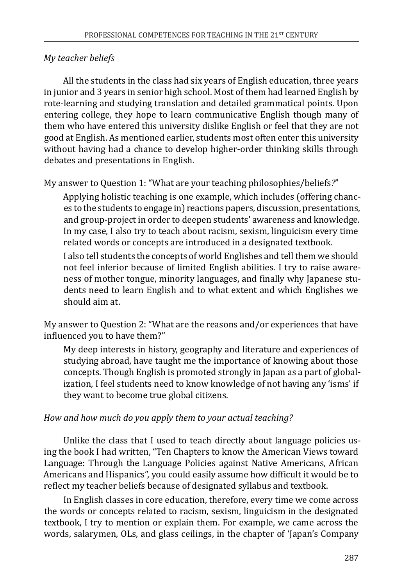### *My teacher beliefs*

All the students in the class had six years of English education, three years in junior and 3 years in senior high school. Most of them had learned English by rote-learning and studying translation and detailed grammatical points. Upon entering college, they hope to learn communicative English though many of them who have entered this university dislike English or feel that they are not good at English. As mentioned earlier, students most often enter this university without having had a chance to develop higher-order thinking skills through debates and presentations in English.

My answer to Question 1: "What are your teaching philosophies/beliefs*?*"

Applying holistic teaching is one example, which includes (offering chances to the students to engage in) reactions papers, discussion, presentations, and group-project in order to deepen students' awareness and knowledge. In my case, I also try to teach about racism, sexism, linguicism every time related words or concepts are introduced in a designated textbook.

I also tell students the concepts of world Englishes and tell them we should not feel inferior because of limited English abilities. I try to raise awareness of mother tongue, minority languages, and finally why Japanese students need to learn English and to what extent and which Englishes we should aim at.

My answer to Question 2: "What are the reasons and/or experiences that have influenced you to have them?"

My deep interests in history, geography and literature and experiences of studying abroad, have taught me the importance of knowing about those concepts. Though English is promoted strongly in Japan as a part of globalization, I feel students need to know knowledge of not having any 'isms' if they want to become true global citizens.

# *How and how much do you apply them to your actual teaching?*

Unlike the class that I used to teach directly about language policies using the book I had written, "Ten Chapters to know the American Views toward Language: Through the Language Policies against Native Americans, African Americans and Hispanics", you could easily assume how difficult it would be to reflect my teacher beliefs because of designated syllabus and textbook.

In English classes in core education, therefore, every time we come across the words or concepts related to racism, sexism, linguicism in the designated textbook, I try to mention or explain them. For example, we came across the words, salarymen, OLs, and glass ceilings, in the chapter of 'Japan's Company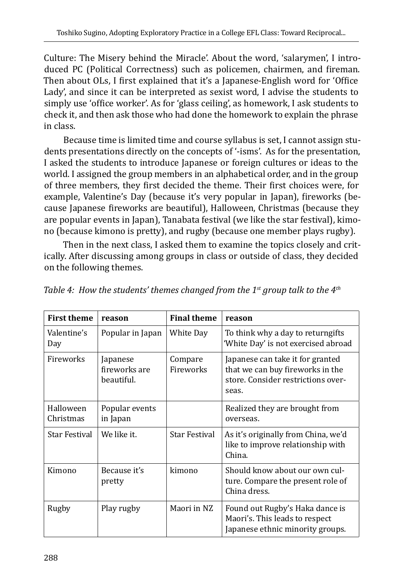Culture: The Misery behind the Miracle'. About the word, 'salarymen', I introduced PC (Political Correctness) such as policemen, chairmen, and fireman. Then about OLs, I first explained that it's a Japanese-English word for 'Office Lady', and since it can be interpreted as sexist word, I advise the students to simply use 'office worker'. As for 'glass ceiling', as homework, I ask students to check it, and then ask those who had done the homework to explain the phrase in class.

Because time is limited time and course syllabus is set, I cannot assign students presentations directly on the concepts of '-isms'. As for the presentation, I asked the students to introduce Japanese or foreign cultures or ideas to the world. I assigned the group members in an alphabetical order, and in the group of three members, they first decided the theme. Their first choices were, for example, Valentine's Day (because it's very popular in Japan), fireworks (because Japanese fireworks are beautiful), Halloween, Christmas (because they are popular events in Japan), Tanabata festival (we like the star festival), kimono (because kimono is pretty), and rugby (because one member plays rugby).

Then in the next class, I asked them to examine the topics closely and critically. After discussing among groups in class or outside of class, they decided on the following themes.

| <b>First theme</b>     | reason                                  | <b>Final theme</b>   | reason                                                                                                              |
|------------------------|-----------------------------------------|----------------------|---------------------------------------------------------------------------------------------------------------------|
| Valentine's<br>Day     | Popular in Japan                        | White Day            | To think why a day to returngifts<br>'White Day' is not exercised abroad                                            |
| Fireworks              | Japanese<br>fireworks are<br>beautiful. | Compare<br>Fireworks | Japanese can take it for granted<br>that we can buy fireworks in the<br>store. Consider restrictions over-<br>seas. |
| Halloween<br>Christmas | Popular events<br>in Japan              |                      | Realized they are brought from<br>overseas.                                                                         |
| Star Festival          | We like it.                             | Star Festival        | As it's originally from China, we'd<br>like to improve relationship with<br>China.                                  |
| Kimono                 | Because it's<br>pretty                  | kimono               | Should know about our own cul-<br>ture. Compare the present role of<br>China dress.                                 |
| Rugby                  | Play rugby                              | Maori in NZ          | Found out Rugby's Haka dance is<br>Maori's. This leads to respect<br>Japanese ethnic minority groups.               |

*Table 4: How the students' themes changed from the 1st group talk to the 4th*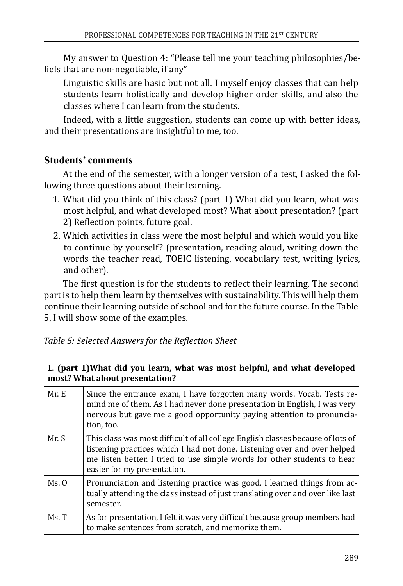My answer to Question 4: "Please tell me your teaching philosophies/beliefs that are non-negotiable, if any"

Linguistic skills are basic but not all. I myself enjoy classes that can help students learn holistically and develop higher order skills, and also the classes where I can learn from the students.

Indeed, with a little suggestion, students can come up with better ideas, and their presentations are insightful to me, too.

# **Students' comments**

At the end of the semester, with a longer version of a test, I asked the following three questions about their learning.

- 1. What did you think of this class? (part 1) What did you learn, what was most helpful, and what developed most? What about presentation? (part 2) Reflection points, future goal.
- 2. Which activities in class were the most helpful and which would you like to continue by yourself? (presentation, reading aloud, writing down the words the teacher read, TOEIC listening, vocabulary test, writing lyrics, and other).

The first question is for the students to reflect their learning. The second part is to help them learn by themselves with sustainability. This will help them continue their learning outside of school and for the future course. In the Table 5, I will show some of the examples.

| Table 5: Selected Answers for the Reflection Sheet |  |
|----------------------------------------------------|--|
|----------------------------------------------------|--|

| 1. (part 1) What did you learn, what was most helpful, and what developed<br>most? What about presentation? |                                                                                                                                                                                                                                                                        |  |
|-------------------------------------------------------------------------------------------------------------|------------------------------------------------------------------------------------------------------------------------------------------------------------------------------------------------------------------------------------------------------------------------|--|
| Mr. E                                                                                                       | Since the entrance exam, I have forgotten many words. Vocab. Tests re-<br>mind me of them. As I had never done presentation in English, I was very<br>nervous but gave me a good opportunity paying attention to pronuncia-<br>tion, too.                              |  |
| Mr. S                                                                                                       | This class was most difficult of all college English classes because of lots of<br>listening practices which I had not done. Listening over and over helped<br>me listen better. I tried to use simple words for other students to hear<br>easier for my presentation. |  |
| Ms. 0                                                                                                       | Pronunciation and listening practice was good. I learned things from ac-<br>tually attending the class instead of just translating over and over like last<br>semester.                                                                                                |  |
| Ms. T                                                                                                       | As for presentation, I felt it was very difficult because group members had<br>to make sentences from scratch, and memorize them.                                                                                                                                      |  |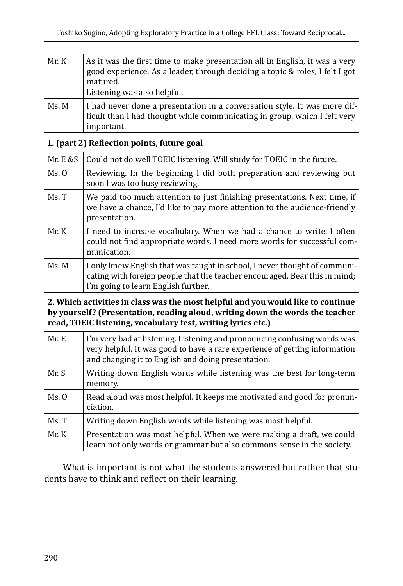| Mr. K    | As it was the first time to make presentation all in English, it was a very<br>good experience. As a leader, through deciding a topic & roles, I felt I got<br>matured.<br>Listening was also helpful.                            |
|----------|-----------------------------------------------------------------------------------------------------------------------------------------------------------------------------------------------------------------------------------|
|          |                                                                                                                                                                                                                                   |
| Ms. M    | I had never done a presentation in a conversation style. It was more dif-<br>ficult than I had thought while communicating in group, which I felt very<br>important.                                                              |
|          | 1. (part 2) Reflection points, future goal                                                                                                                                                                                        |
| Mr. E &S | Could not do well TOEIC listening. Will study for TOEIC in the future.                                                                                                                                                            |
| Ms. 0    | Reviewing. In the beginning I did both preparation and reviewing but<br>soon I was too busy reviewing.                                                                                                                            |
| Ms. T    | We paid too much attention to just finishing presentations. Next time, if<br>we have a chance, I'd like to pay more attention to the audience-friendly<br>presentation.                                                           |
| Mr. K    | I need to increase vocabulary. When we had a chance to write, I often<br>could not find appropriate words. I need more words for successful com-<br>munication.                                                                   |
| Ms. M    | I only knew English that was taught in school, I never thought of communi-<br>cating with foreign people that the teacher encouraged. Bear this in mind;<br>I'm going to learn English further.                                   |
|          | 2. Which activities in class was the most helpful and you would like to continue<br>by yourself? (Presentation, reading aloud, writing down the words the teacher<br>read, TOEIC listening, vocabulary test, writing lyrics etc.) |
| Mr. E    | I'm very bad at listening. Listening and pronouncing confusing words was<br>very helpful. It was good to have a rare experience of getting information<br>and changing it to English and doing presentation.                      |
| Mr. S    | Writing down English words while listening was the best for long-term<br>memory.                                                                                                                                                  |
| Ms. 0    | Read aloud was most helpful. It keeps me motivated and good for pronun-<br>ciation.                                                                                                                                               |
| Ms. T    | Writing down English words while listening was most helpful.                                                                                                                                                                      |
| Mr. K    | Presentation was most helpful. When we were making a draft, we could<br>learn not only words or grammar but also commons sense in the society.                                                                                    |

What is important is not what the students answered but rather that students have to think and reflect on their learning.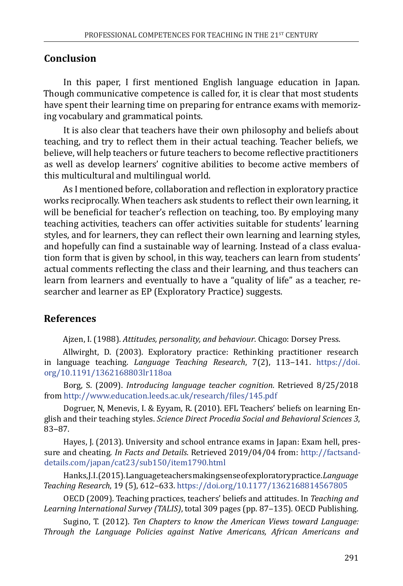### **Conclusion**

In this paper, I first mentioned English language education in Japan. Though communicative competence is called for, it is clear that most students have spent their learning time on preparing for entrance exams with memorizing vocabulary and grammatical points.

It is also clear that teachers have their own philosophy and beliefs about teaching, and try to reflect them in their actual teaching. Teacher beliefs, we believe, will help teachers or future teachers to become reflective practitioners as well as develop learners' cognitive abilities to become active members of this multicultural and multilingual world.

As I mentioned before, collaboration and reflection in exploratory practice works reciprocally. When teachers ask students to reflect their own learning, it will be beneficial for teacher's reflection on teaching, too. By employing many teaching activities, teachers can offer activities suitable for students' learning styles, and for learners, they can reflect their own learning and learning styles, and hopefully can find a sustainable way of learning. Instead of a class evaluation form that is given by school, in this way, teachers can learn from students' actual comments reflecting the class and their learning, and thus teachers can learn from learners and eventually to have a "quality of life" as a teacher, researcher and learner as EP (Exploratory Practice) suggests.

# **References**

Ajzen, I. (1988). *Attitudes, personality, and behaviour*. Chicago: Dorsey Press.

Allwirght, D. (2003). Exploratory practice: Rethinking practitioner research in language teaching. *Language Teaching Research*, 7(2), 113-141. [https://doi.](https://doi.org/10.1191/1362168803lr118oa) [org/10.1191/1362168803lr118oa](https://doi.org/10.1191/1362168803lr118oa)

Borg, S. (2009). *Introducing language teacher cognition*. Retrieved 8/25/2018 from <http://www.education.leeds.ac.uk/research/files/145.pdf>

Dogruer, N, Menevis, I. & Eyyam, R. (2010). EFL Teachers' beliefs on learning English and their teaching styles. *Science Direct Procedia Social and Behavioral Sciences 3*, 83-87.

Hayes, J. (2013). University and school entrance exams in Japan: Exam hell, pressure and cheating. *In Facts and Details*. Retrieved 2019/04/04 from: [http://factsand](http://factsanddetails.com/japan/cat23/sub150/item1790.html)[details.com/japan/cat23/sub150/item1790.html](http://factsanddetails.com/japan/cat23/sub150/item1790.html)

Hanks, J. I. (2015). Language teachers making sense of exploratory practice. *Language Teaching Research*, 19 (5), 612‒633. <https://doi.org/10.1177/1362168814567805>

OECD (2009). Teaching practices, teachers' beliefs and attitudes. In *Teaching and*  Learning International Survey (TALIS), total 309 pages (pp. 87-135). OECD Publishing.

Sugino, T. (2012). *Ten Chapters to know the American Views toward Language: Through the Language Policies against Native Americans, African Americans and*